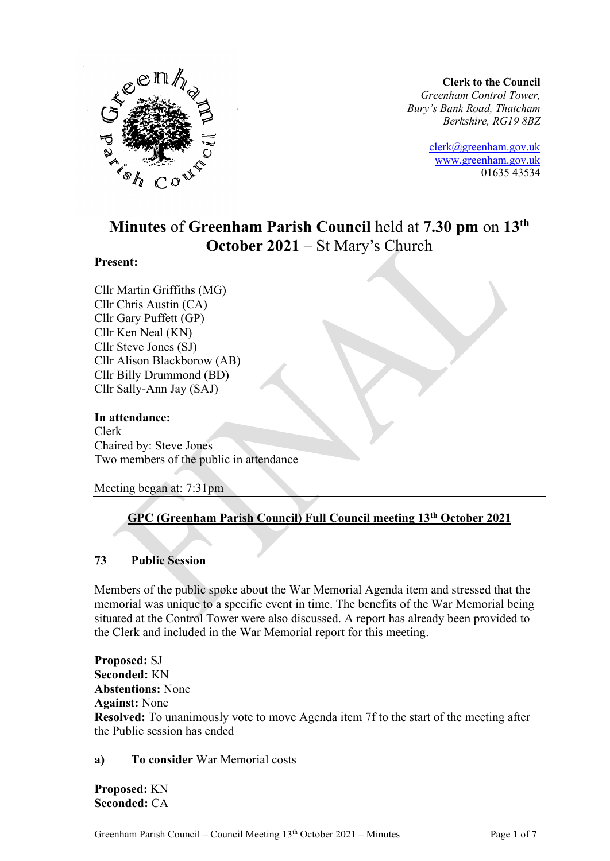

**Clerk to the Council** *Greenham Control Tower, Bury's Bank Road, Thatcham Berkshire, RG19 8BZ*

> [clerk@greenham.gov.uk](mailto:clerk@greenham.gov.uk) [www.greenham.gov.uk](http://www.greenham.gov.uk/) 01635 43534

# **Minutes** of **Greenham Parish Council** held at **7.30 pm** on **13th October 2021** – St Mary's Church

# **Present:**

Cllr Martin Griffiths (MG) Cllr Chris Austin (CA) Cllr Gary Puffett (GP) Cllr Ken Neal (KN) Cllr Steve Jones (SJ) Cllr Alison Blackborow (AB) Cllr Billy Drummond (BD) Cllr Sally-Ann Jay (SAJ)

# **In attendance:**

Clerk Chaired by: Steve Jones Two members of the public in attendance

Meeting began at: 7:31pm

# **GPC (Greenham Parish Council) Full Council meeting 13th October 2021**

# **73 Public Session**

Members of the public spoke about the War Memorial Agenda item and stressed that the memorial was unique to a specific event in time. The benefits of the War Memorial being situated at the Control Tower were also discussed. A report has already been provided to the Clerk and included in the War Memorial report for this meeting.

**Proposed:** SJ **Seconded:** KN **Abstentions:** None **Against:** None **Resolved:** To unanimously vote to move Agenda item 7f to the start of the meeting after the Public session has ended

**a) To consider** War Memorial costs

**Proposed:** KN **Seconded:** CA

Greenham Parish Council – Council Meeting 13th October 2021 – Minutes Page **1** of **7**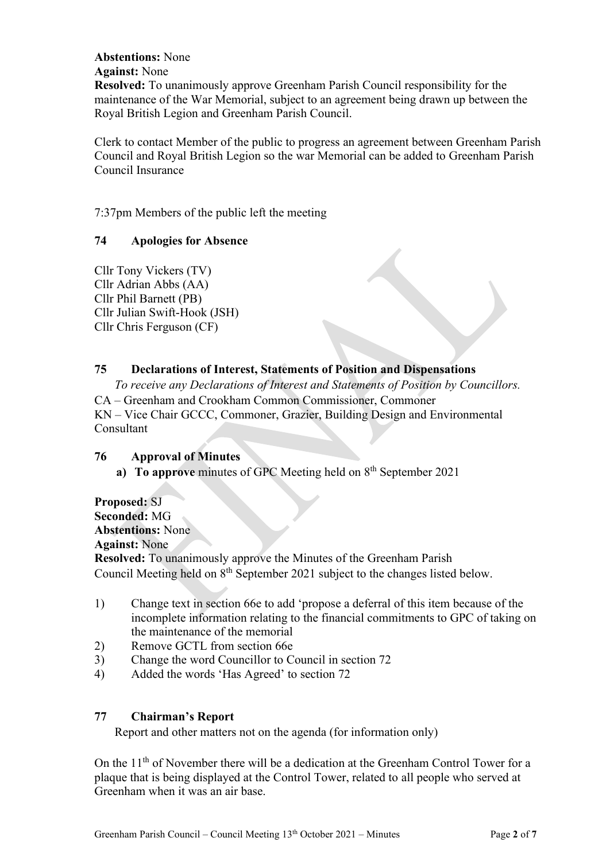# **Abstentions:** None

**Against:** None

**Resolved:** To unanimously approve Greenham Parish Council responsibility for the maintenance of the War Memorial, subject to an agreement being drawn up between the Royal British Legion and Greenham Parish Council.

Clerk to contact Member of the public to progress an agreement between Greenham Parish Council and Royal British Legion so the war Memorial can be added to Greenham Parish Council Insurance

7:37pm Members of the public left the meeting

# **74 Apologies for Absence**

Cllr Tony Vickers (TV) Cllr Adrian Abbs (AA) Cllr Phil Barnett (PB) Cllr Julian Swift-Hook (JSH) Cllr Chris Ferguson (CF)

# **75 Declarations of Interest, Statements of Position and Dispensations**

*To receive any Declarations of Interest and Statements of Position by Councillors.*  CA – Greenham and Crookham Common Commissioner, Commoner KN – Vice Chair GCCC, Commoner, Grazier, Building Design and Environmental Consultant

# **76 Approval of Minutes**

a) To approve minutes of GPC Meeting held on 8<sup>th</sup> September 2021

**Proposed:** SJ **Seconded:** MG **Abstentions:** None **Against:** None **Resolved:** To unanimously approve the Minutes of the Greenham Parish Council Meeting held on 8<sup>th</sup> September 2021 subject to the changes listed below.

- 1) Change text in section 66e to add 'propose a deferral of this item because of the incomplete information relating to the financial commitments to GPC of taking on the maintenance of the memorial
- 2) Remove GCTL from section 66e
- 3) Change the word Councillor to Council in section 72
- 4) Added the words 'Has Agreed' to section 72

# **77 Chairman's Report**

Report and other matters not on the agenda (for information only)

On the 11<sup>th</sup> of November there will be a dedication at the Greenham Control Tower for a plaque that is being displayed at the Control Tower, related to all people who served at Greenham when it was an air base.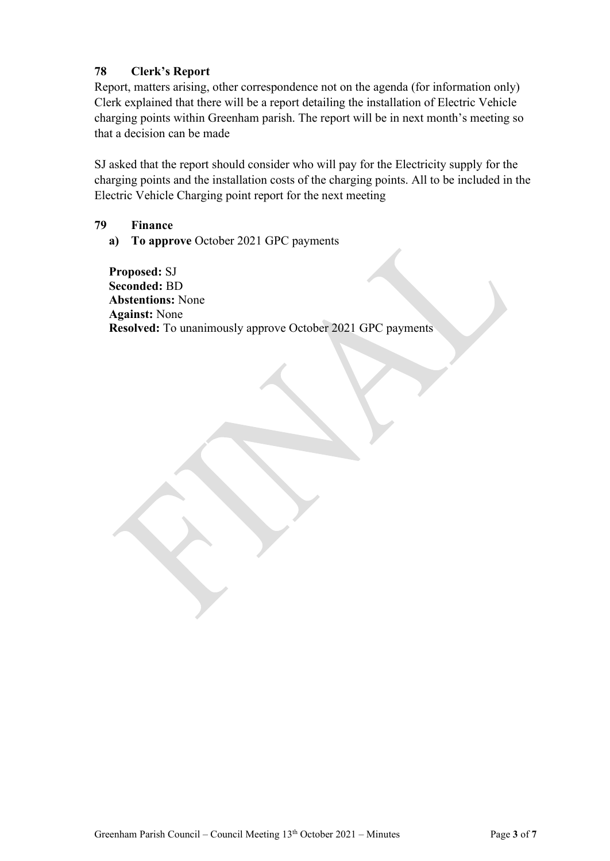# **78 Clerk's Report**

Report, matters arising, other correspondence not on the agenda (for information only) Clerk explained that there will be a report detailing the installation of Electric Vehicle charging points within Greenham parish. The report will be in next month's meeting so that a decision can be made

SJ asked that the report should consider who will pay for the Electricity supply for the charging points and the installation costs of the charging points. All to be included in the Electric Vehicle Charging point report for the next meeting

**79 Finance**

**a) To approve** October 2021 GPC payments

**Proposed:** SJ **Seconded:** BD **Abstentions:** None **Against:** None **Resolved:** To unanimously approve October 2021 GPC payments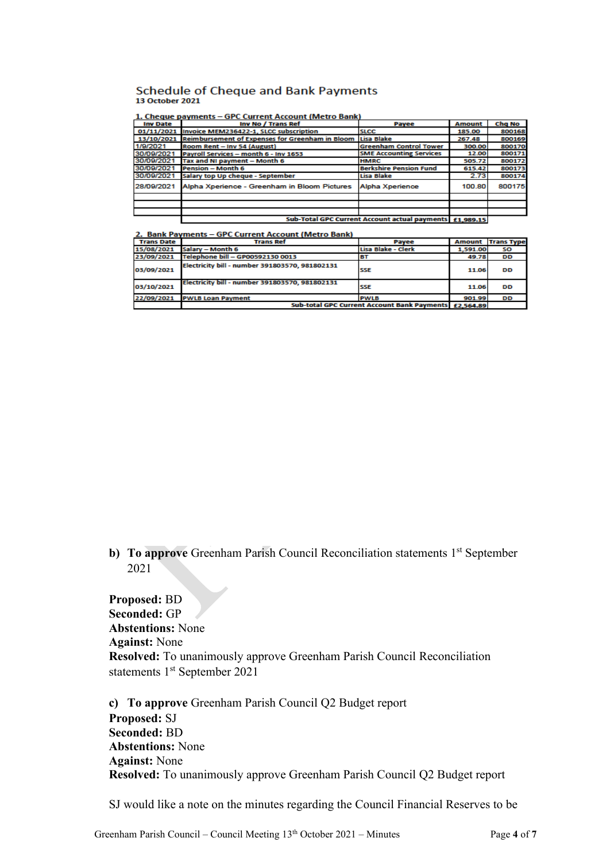#### **Schedule of Cheque and Bank Payments** 13 October 2021

| 1. Cheque payments – GPC Current Account (Metro Bank |  |  |
|------------------------------------------------------|--|--|
|------------------------------------------------------|--|--|

|                 | 1. Cheque payments – GPC Current Account (Metro Bank)      |                                                           |               |        |
|-----------------|------------------------------------------------------------|-----------------------------------------------------------|---------------|--------|
| <b>Inv Date</b> | Inv No / Trans Ref                                         | Payee                                                     | <b>Amount</b> | Chg No |
|                 | 01/11/2021 Invoice MEM236422-1, SLCC subscription          | <b>SLCC</b>                                               | 185.00        | 800168 |
|                 | 13/10/2021 Reimbursement of Expenses for Greenham in Bloom | Lisa Blake                                                | 267.48        | 800169 |
| 1/9/2021        | Room Rent - Inv 54 (August)                                | <b>Greenham Control Tower</b>                             | 300.00        | 800170 |
| 30/09/2021      | Pavroll Services - month 6 - Inv 1653                      | <b>SME Accounting Services</b>                            | 12.00         | 800171 |
| 30/09/2021      | Tax and NI payment - Month 6                               | <b>HMRC</b>                                               | 505.72        | 800172 |
| 30/09/2021      | Pension - Month 6                                          | <b>Berkshire Pension Fund</b>                             | 615.42        | 800173 |
| 30/09/2021      | Salary top Up cheque - September                           | Lisa Blake                                                | 2.73          | 800174 |
| 28/09/2021      | Alpha Xperience - Greenham in Bloom Pictures               | Alpha Xperience                                           | 100.80        | 800175 |
|                 |                                                            |                                                           |               |        |
|                 |                                                            |                                                           |               |        |
|                 |                                                            |                                                           |               |        |
|                 |                                                            | Sub-Total CDC Current Account actual nayments   c1,000,15 |               |        |

2. Bank Payments - GPC Current Account (Metro Bank)

| <b>Trans Date</b> | <b>Trans Ref</b>                                      | Payee              | <b>Amount</b> | <b>Trans Type</b> |
|-------------------|-------------------------------------------------------|--------------------|---------------|-------------------|
| 15/08/2021        | Salary - Month 6                                      | Lisa Blake - Clerk | 1,591.00      | SO                |
| 23/09/2021        | Telephone bill - GP00592130 0013                      | BТ                 | 49.78         | DD                |
| 03/09/2021        | Electricity bill - number 391803570, 981802131        | <b>SSE</b>         | 11.06         | DD                |
| 03/10/2021        | Electricity bill - number 391803570, 981802131        | <b>SSE</b>         | 11.06         | DD                |
| 22/09/2021        | <b>PWLB Loan Payment</b>                              | <b>PWLB</b>        | 901.99        | <b>DD</b>         |
|                   | Sub-total GPC Current Account Bank Payments £2,564.89 |                    |               |                   |

**b)** To approve Greenham Parish Council Reconciliation statements 1<sup>st</sup> September 2021

**Proposed:** BD **Seconded:** GP **Abstentions:** None **Against:** None **Resolved:** To unanimously approve Greenham Parish Council Reconciliation statements 1<sup>st</sup> September 2021

**c) To approve** Greenham Parish Council Q2 Budget report **Proposed:** SJ **Seconded:** BD **Abstentions:** None **Against:** None **Resolved:** To unanimously approve Greenham Parish Council Q2 Budget report

SJ would like a note on the minutes regarding the Council Financial Reserves to be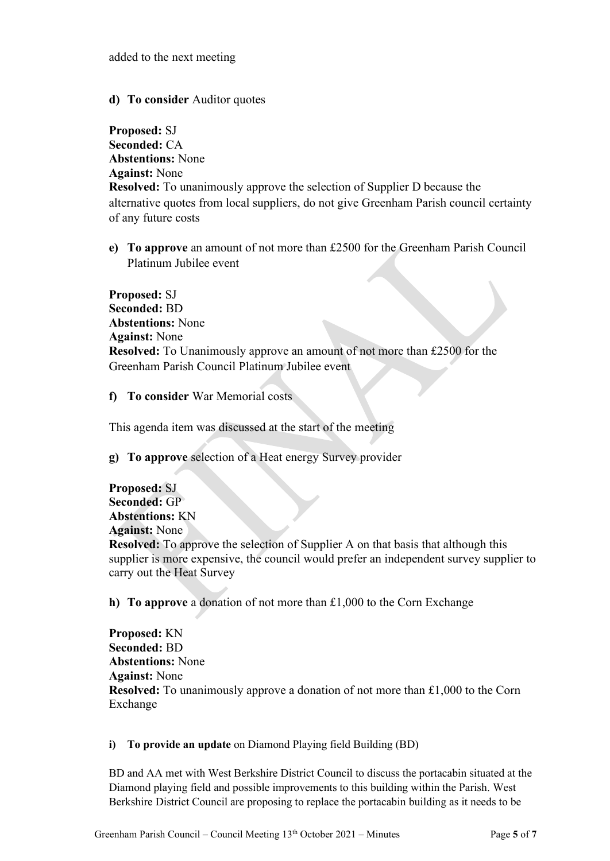# **d) To consider** Auditor quotes

**Proposed:** SJ **Seconded:** CA **Abstentions:** None **Against:** None **Resolved:** To unanimously approve the selection of Supplier D because the alternative quotes from local suppliers, do not give Greenham Parish council certainty of any future costs

**e) To approve** an amount of not more than £2500 for the Greenham Parish Council Platinum Jubilee event

**Proposed:** SJ **Seconded:** BD **Abstentions:** None **Against:** None **Resolved:** To Unanimously approve an amount of not more than £2500 for the Greenham Parish Council Platinum Jubilee event

**f) To consider** War Memorial costs

This agenda item was discussed at the start of the meeting

**g) To approve** selection of a Heat energy Survey provider

**Proposed:** SJ **Seconded:** GP **Abstentions:** KN **Against:** None **Resolved:** To approve the selection of Supplier A on that basis that although this supplier is more expensive, the council would prefer an independent survey supplier to carry out the Heat Survey

**h) To approve** a donation of not more than £1,000 to the Corn Exchange

**Proposed:** KN **Seconded:** BD **Abstentions:** None **Against:** None **Resolved:** To unanimously approve a donation of not more than £1,000 to the Corn Exchange

**i) To provide an update** on Diamond Playing field Building (BD)

BD and AA met with West Berkshire District Council to discuss the portacabin situated at the Diamond playing field and possible improvements to this building within the Parish. West Berkshire District Council are proposing to replace the portacabin building as it needs to be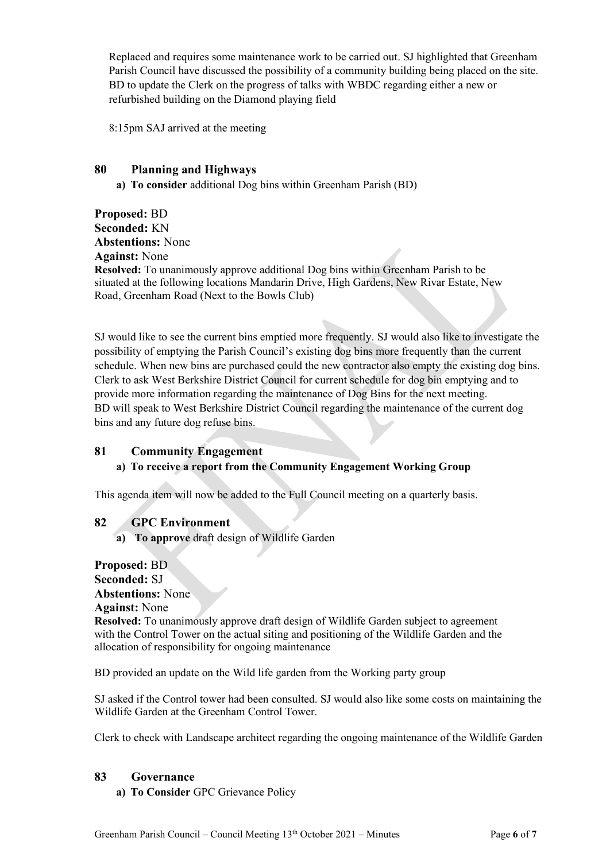Replaced and requires some maintenance work to be carried out. SJ highlighted that Greenham Parish Council have discussed the possibility of a community building being placed on the site. BD to update the Clerk on the progress of talks with WBDC regarding either a new or refurbished building on the Diamond playing field

8:15pm SAJ arrived at the meeting

# **80 Planning and Highways**

**a) To consider** additional Dog bins within Greenham Parish (BD)

**Proposed:** BD **Seconded:** KN **Abstentions:** None **Against:** None **Resolved:** To unanimously approve additional Dog bins within Greenham Parish to be situated at the following locations Mandarin Drive, High Gardens, New Rivar Estate, New Road, Greenham Road (Next to the Bowls Club)

SJ would like to see the current bins emptied more frequently. SJ would also like to investigate the possibility of emptying the Parish Council's existing dog bins more frequently than the current schedule. When new bins are purchased could the new contractor also empty the existing dog bins. Clerk to ask West Berkshire District Council for current schedule for dog bin emptying and to provide more information regarding the maintenance of Dog Bins for the next meeting. BD will speak to West Berkshire District Council regarding the maintenance of the current dog bins and any future dog refuse bins.

# **81 Community Engagement**

# **a) To receive a report from the Community Engagement Working Group**

This agenda item will now be added to the Full Council meeting on a quarterly basis.

# **82 GPC Environment**

**a) To approve** draft design of Wildlife Garden

**Proposed:** BD **Seconded:** SJ **Abstentions:** None

#### **Against:** None

**Resolved:** To unanimously approve draft design of Wildlife Garden subject to agreement with the Control Tower on the actual siting and positioning of the Wildlife Garden and the allocation of responsibility for ongoing maintenance

BD provided an update on the Wild life garden from the Working party group

SJ asked if the Control tower had been consulted. SJ would also like some costs on maintaining the Wildlife Garden at the Greenham Control Tower.

Clerk to check with Landscape architect regarding the ongoing maintenance of the Wildlife Garden

# **83 Governance**

**a) To Consider** GPC Grievance Policy